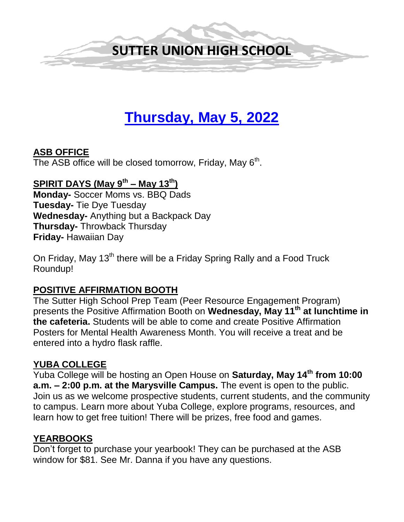

# **Thursday, May 5, 2022**

## **ASB OFFICE**

The ASB office will be closed tomorrow, Friday, May  $6<sup>th</sup>$ .

# **SPIRIT DAYS (May 9th – May 13th)**

**Monday-** Soccer Moms vs. BBQ Dads **Tuesday-** Tie Dye Tuesday **Wednesday-** Anything but a Backpack Day **Thursday-** Throwback Thursday **Friday-** Hawaiian Day

On Friday, May 13<sup>th</sup> there will be a Friday Spring Rally and a Food Truck Roundup!

#### **POSITIVE AFFIRMATION BOOTH**

The Sutter High School Prep Team (Peer Resource Engagement Program) presents the Positive Affirmation Booth on **Wednesday, May 11th at lunchtime in the cafeteria.** Students will be able to come and create Positive Affirmation Posters for Mental Health Awareness Month. You will receive a treat and be entered into a hydro flask raffle.

# **YUBA COLLEGE**

Yuba College will be hosting an Open House on **Saturday, May 14th from 10:00 a.m. – 2:00 p.m. at the Marysville Campus.** The event is open to the public. Join us as we welcome prospective students, current students, and the community to campus. Learn more about Yuba College, explore programs, resources, and learn how to get free tuition! There will be prizes, free food and games.

#### **YEARBOOKS**

Don't forget to purchase your yearbook! They can be purchased at the ASB window for \$81. See Mr. Danna if you have any questions.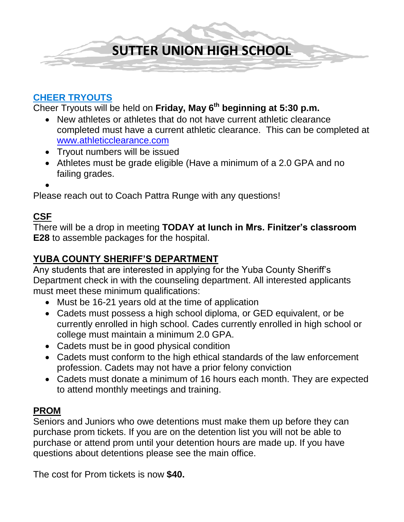

#### **CHEER TRYOUTS**

Cheer Tryouts will be held on **Friday, May 6 th beginning at 5:30 p.m.**

- New athletes or athletes that do not have current athletic clearance completed must have a current athletic clearance. This can be completed at [www.athleticclearance.com](http://www.athleticclearance.com/)
- Tryout numbers will be issued
- Athletes must be grade eligible (Have a minimum of a 2.0 GPA and no failing grades.
- $\bullet$

Please reach out to Coach Pattra Runge with any questions!

#### **CSF**

There will be a drop in meeting **TODAY at lunch in Mrs. Finitzer's classroom E28** to assemble packages for the hospital.

# **YUBA COUNTY SHERIFF'S DEPARTMENT**

Any students that are interested in applying for the Yuba County Sheriff's Department check in with the counseling department. All interested applicants must meet these minimum qualifications:

- Must be 16-21 years old at the time of application
- Cadets must possess a high school diploma, or GED equivalent, or be currently enrolled in high school. Cades currently enrolled in high school or college must maintain a minimum 2.0 GPA.
- Cadets must be in good physical condition
- Cadets must conform to the high ethical standards of the law enforcement profession. Cadets may not have a prior felony conviction
- Cadets must donate a minimum of 16 hours each month. They are expected to attend monthly meetings and training.

#### **PROM**

Seniors and Juniors who owe detentions must make them up before they can purchase prom tickets. If you are on the detention list you will not be able to purchase or attend prom until your detention hours are made up. If you have questions about detentions please see the main office.

The cost for Prom tickets is now **\$40.**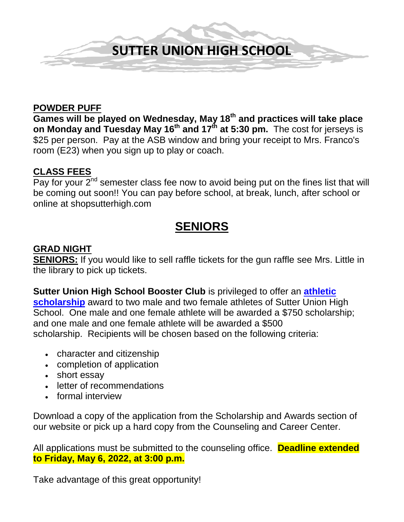

#### **POWDER PUFF**

**Games will be played on Wednesday, May 18th and practices will take place on Monday and Tuesday May 16th and 17th at 5:30 pm.** The cost for jerseys is \$25 per person. Pay at the ASB window and bring your receipt to Mrs. Franco's room (E23) when you sign up to play or coach.

## **CLASS FEES**

Pay for your  $2^{nd}$  semester class fee now to avoid being put on the fines list that will be coming out soon!! You can pay before school, at break, lunch, after school or online at shopsutterhigh.com

# **SENIORS**

#### **GRAD NIGHT**

**SENIORS:** If you would like to sell raffle tickets for the gun raffle see Mrs. Little in the library to pick up tickets.

**Sutter Union High School Booster Club** is privileged to offer an **[athletic](https://ca02205833.schoolwires.net/Page/8453)  [scholarship](https://ca02205833.schoolwires.net/Page/8453)** award to two male and two female athletes of Sutter Union High School. One male and one female athlete will be awarded a \$750 scholarship; and one male and one female athlete will be awarded a \$500 scholarship. Recipients will be chosen based on the following criteria:

- character and citizenship
- completion of application
- short essay
- letter of recommendations
- formal interview

Download a copy of the application from the Scholarship and Awards section of our website or pick up a hard copy from the Counseling and Career Center.

All applications must be submitted to the counseling office. **Deadline extended to Friday, May 6, 2022, at 3:00 p.m.**

Take advantage of this great opportunity!